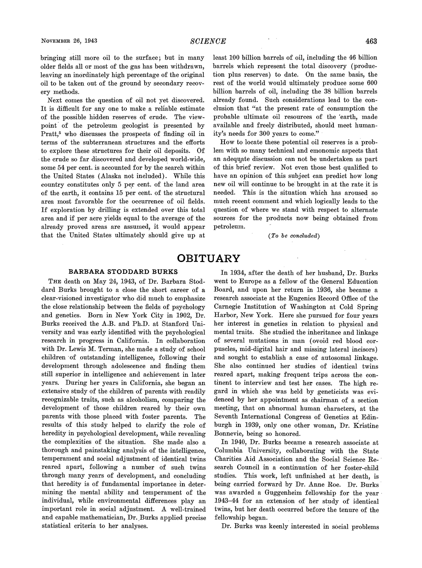bringing still more oil to the surface; but in many older fields all or most of the gas has been withdrawn, leaving an inordinately high percentage of the original oil to be taken out of the ground by secondary recovery methods.

Next comes the question of oil not yet discovered. It is difficult for any one to make a reliable estimate of the possible hidden reserves of crude. The viewpoint of the petroleum geologist is presented by Pratt,<sup>5</sup> who discusses the prospects of finding oil in terms of the subterranean structures and the efforts to explore these structures for their oil deposits. Of the crude so far discovered and developed world-wide, some 54 per cent. is accounted for by the search within the United States (Alaska not included). While this country constitutes only 5 per cent. of the land area of the earth, it contains 15 per cent. of the structural area most favorable for the occurrence of oil fields. If exploration by drilling is extended over this total area and if per acre yields equal to the average of the already proved areas are assumed, it would appear that the United States ultimately should give up at least 100 billion barrels of oil, including the 46 billion barrels which represent the total discovery (production plus reserves) to date. On the same basis, the rest of the world would ultimately produce some 600 billion barrels of oil, including the 38 billion barrels already found. Such considerations lead to the conclusion that "at the present rate of consumption the probable ultimate oil resources of the 'earth, made available and freely distributed, should meet humanity's needs for 300 years to come.''

How to locate these potential oil reserves is a problem with so many technical and emonomic aspects that an adequate discussion can not be undertaken as part of this brief review. Not even those best qualified to have an opinion of this subject can predict how long new oil will continue to be brought in at the rate it is needed. This is the situation which has aroused so much recent comment and which logically leads to the question of where we stand with respect to alternate sources for the products now being obtained from petroleum.

**(To***be* concluded)

## **OBITUARY**

## BARBARA STODDARD BURKS

THE death on May 24, 1943, of Dr. Barbara Stoddard Burks brought to a close the short career of **a**  clear-visioned investigator who did much to emphasize the close relationship between the fields of psychology and genetics. Born in New York City in 1902, Dr. Burks received the A.B. and Ph.D. at Stanford University and was early identified with the psychological research in progress in California. In collaboration with Dr. Lewis M. Terman, she made a study of school children of outstanding intelligence, following their development through adolescence and finding them still superior in intelligence and achievement in later years. During her years in California, she began an extensive study of the children of parents with readily recognizable traits, such as alcoholism, comparing the development of those children reared by their own parents with those placed with foster parents. The results of this study helped to clarify the role of heredity in psychological development, while revealing the complexities of the situation. She made also a thorough and painstaking analysis of the intelligence, temperament and social adjustment of identical twins reared apart, following a number of such twins through many years of development, and concluding that heredity is of fundamental importance in determining the mental ability and temperament of the individual, while environmental differences play an important role in social adjustment. A well-trained and capable mathematician, Dr. Burks applied precise statistical criteria to her analyses.

In 1934, after the death of her husband, Dr. Burks went to Europe as a fellow of the General Education Board, and upon her return in 1936, she became a research associate at the Eugenics Record Office of the Carnegie Institution of Washington at Cold Spring Harbor, New York. Here she pursued for four years her interest in genetics in relation to physical and mental traits. She studied the inheritance and linkage of several mutations in man (ovoid red blood corpuscles, mid-digital hair and missing lateral incisors) and sought to establish a case of autosomal linkage. She also continued her studies of identical twins reared apart, making frequent trips across the continent to interview and test her cases. The high regard in which she was held by geneticists was evidenced by her appointment as chairman of a section meeting, that on abnormal human characters, at the Seventh International Congress of Genetics at Edinburgh in 1939, only one other woman, Dr. Kristine Bonnevie, being so honored.

In 1940, Dr. Burks became a research associate at Columbia University, collaborating with the State Charities Aid Association and the Social Science Research Council in a continuation of her foster-child studies. This work, left unfinished at her death, is being carried forward by Dr. Anne Roe. Dr. Burks was awarded a Guggenheim fellowship for the year 1943-44 for an extension of her study of identical twins, but her death occurred before the tenure of the fellowship began.

Dr. Burks was keenly interested in social problems